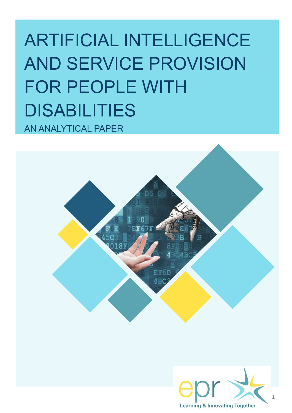# ARTIFICIAL INTELLIGENCE AND SERVICE PROVISION FOR PEOPLE WITH DISABILITIES AN ANALYTICAL PAPER



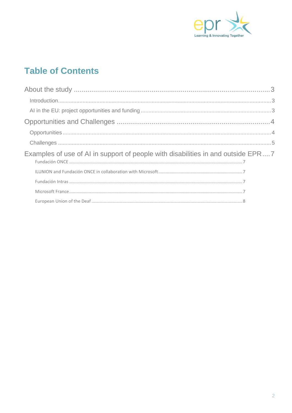

## **Table of Contents**

| Examples of use of AI in support of people with disabilities in and outside EPR7 |  |
|----------------------------------------------------------------------------------|--|
|                                                                                  |  |
|                                                                                  |  |
|                                                                                  |  |
|                                                                                  |  |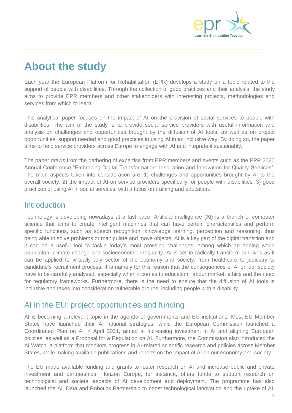

## <span id="page-2-0"></span>**About the study**

Each year the European Platform for Rehabilitation (EPR) develops a study on a topic related to the support of people with disabilities. Through the collection of good practices and their analysis, the study aims to provide EPR members and other stakeholders with interesting projects, methodologies and services from which to learn.

This analytical paper focuses on the impact of AI on the provision of social services to people with disabilities. The aim of the study is to provide social service providers with useful information and analysis on challenges and opportunities brought by the diffusion of AI tools, as well as on project opportunities, support needed and good practices in using AI in an inclusive way. By doing so, the paper aims to help service providers across Europe to engage with AI and integrate it sustainably.

The paper draws from the gathering of expertise from EPR members and events such as the EPR 2020 Annual Conference "Embracing Digital Transformation: Inspiration and Innovation for Quality Services". The main aspects taken into consideration are: 1) challenges and opportunities brought by AI to the overall society; 2) the impact of AI on service providers specifically for people with disabilities; 3) good practices of using AI in social services, with a focus on training and education.

#### <span id="page-2-1"></span>**Introduction**

Technology is developing nowadays at a fast pace. Artificial intelligence (AI) is a branch of computer science that aims to create intelligent machines that can have certain characteristics and perform specific functions, such as speech recognition, knowledge learning, perception and reasoning, thus being able to solve problems or manipulate and move objects. AI is a key part of the digital transition and it can be a useful tool to tackle today's most pressing challenges, among which an ageing world population, climate change and socioeconomic inequality. AI is set to radically transform our lives as it can be applied to virtually any sector of the economy and society, from healthcare to judiciary to candidate's recruitment process. It is namely for this reason that the consequences of AI on our society have to be carefully analysed, especially when it comes to education, labour market, ethics and the need for regulatory frameworks. Furthermore, there is the need to ensure that the diffusion of AI tools is inclusive and takes into consideration vulnerable groups, including people with a disability.

### <span id="page-2-2"></span>AI in the EU: project opportunities and funding

AI is becoming a relevant topic in the agenda of governments and EU institutions. Most EU Member States have launched their AI national strategies, while the European Commission launched a Coordinated Plan on AI in April 2021, aimed at increasing investment in AI and aligning European policies, as well as a Proposal for a Regulation on AI. Furthermore, the Commission also introduced the AI Watch, a platform that monitors progress in AI-related scientific research and policies across Member States, while making available publications and reports on the impact of AI on our economy and society.

The EU made available funding and grants to foster research on AI and increase public and private investment and partnerships. Horizon Europe, for instance, offers funds to support research on technological and societal aspects of AI development and deployment. The programme has also launched the AI, Data and Robotics Partnership to boost technological innovation and the uptake of AI.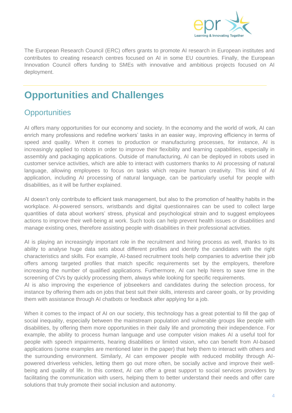

The European Research Council (ERC) offers grants to promote AI research in European institutes and contributes to creating research centres focused on AI in some EU countries. Finally, the European Innovation Council offers funding to SMEs with innovative and ambitious projects focused on AI deployment.

## <span id="page-3-0"></span>**Opportunities and Challenges**

### <span id="page-3-1"></span>**Opportunities**

AI offers many opportunities for our economy and society. In the economy and the world of work, AI can enrich many professions and redefine workers' tasks in an easier way, improving efficiency in terms of speed and quality. When it comes to production or manufacturing processes, for instance, AI is increasingly applied to robots in order to improve their flexibility and learning capabilities, especially in assembly and packaging applications. Outside of manufacturing, AI can be deployed in robots used in customer service activities, which are able to interact with customers thanks to AI processing of natural language, allowing employees to focus on tasks which require human creativity. This kind of AI application, including AI processing of natural language, can be particularly useful for people with disabilities, as it will be further explained.

AI doesn't only contribute to efficient task management, but also to the promotion of healthy habits in the workplace. AI-powered sensors, wristbands and digital questionnaires can be used to collect large quantities of data about workers' stress, physical and psychological strain and to suggest employees actions to improve their well-being at work. Such tools can help prevent health issues or disabilities and manage existing ones, therefore assisting people with disabilities in their professional activities.

AI is playing an increasingly important role in the recruitment and hiring process as well, thanks to its ability to analyse huge data sets about different profiles and identify the candidates with the right characteristics and skills. For example, AI-based recruitment tools help companies to advertise their job offers among targeted profiles that match specific requirements set by the employers, therefore increasing the number of qualified applications. Furthermore, AI can help hirers to save time in the screening of CVs by quickly processing them, always while looking for specific requirements.

AI is also improving the experience of jobseekers and candidates during the selection process, for instance by offering them ads on jobs that best suit their skills, interests and career goals, or by providing them with assistance through AI chatbots or feedback after applying for a job.

When it comes to the impact of AI on our society, this technology has a great potential to fill the gap of social inequality, especially between the mainstream population and vulnerable groups like people with disabilities, by offering them more opportunities in their daily life and promoting their independence. For example, the ability to process human language and use computer vision makes AI a useful tool for people with speech impairments, hearing disabilities or limited vision, who can benefit from AI-based applications (some examples are mentioned later in the paper) that help them to interact with others and the surrounding environment. Similarly, AI can empower people with reduced mobility through AIpowered driverless vehicles, letting them go out more often, be socially active and improve their wellbeing and quality of life. In this context, AI can offer a great support to social services providers by facilitating the communication with users, helping them to better understand their needs and offer care solutions that truly promote their social inclusion and autonomy.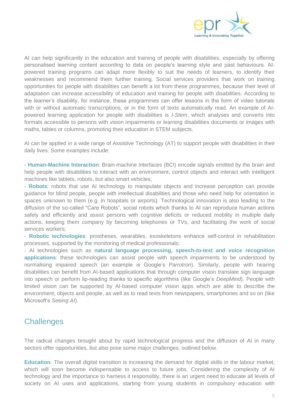

AI can help significantly in the education and training of people with disabilities, especially by offering personalised learning content according to data on people's learning style and past behaviours. AIpowered training programs can adapt more flexibly to suit the needs of learners, to identify their weaknesses and recommend them further training. Social services providers that work on training opportunities for people with disabilities can benefit a lot from these programmes, because their level of adaptation can increase accessibility of education and training for people with disabilities. According to the learner's disability, for instance, these programmes can offer lessons in the form of video tutorials with or without automatic transcriptions, or in the form of texts automatically read. An example of AIpowered learning application for people with disabilities is *I-Stem*, which analyses and converts into formats accessible to persons with vision impairments or learning disabilities documents or images with maths, tables or columns, promoting their education in STEM subjects.

AI can be applied in a wide range of Assistive Technology (AT) to support people with disabilities in their daily lives. Some examples include:

- **Human-Machine Interaction**: Brain-machine interfaces (BCI) encode signals emitted by the brain and help people with disabilities to interact with an environment, control objects and interact with intelligent machines like tablets, robots, but also smart vehicles;

- **Robots**: robots that use AI technology to manipulate objects and increase perception can provide guidance for blind people, people with intellectual disabilities and those who need help for orientation in spaces unknown to them (e.g. in hospitals or airports). Technological innovation is also leading to the diffusion of the so-called "Care Robots", social robots which thanks to AI can reproduce human actions safely and efficiently and assist persons with cognitive deficits or reduced mobility in multiple daily actions, keeping them company by becoming telephones or TVs, and facilitating the work of social services workers;

- **Robotic technologies**: prostheses, wearables, exoskeletons enhance self-control in rehabilitation processes, supported by the monitoring of medical professionals;

- AI technologies such as **natural language processing, speech-to-text and voice recognition applications**: these technologies can assist people with speech impairments to be understood by normalising impaired speech (an example is Google's *Parrotron*). Similarly, people with hearing disabilities can benefit from AI-based applications that through computer vision translate sign language into speech or perform lip-reading thanks to specific algorithms (like Google's *DeepMind*). People with limited vision can be supported by AI-based computer vision apps which are able to describe the environment, objects and people, as well as to read texts from newspapers, smartphones and so on (like Microsoft's *Seeing AI*).

#### <span id="page-4-0"></span>**Challenges**

The radical changes brought about by rapid technological progress and the diffusion of AI in many sectors offer opportunities, but also pose some major challenges, outlined below.

**Education**. The overall digital transition is increasing the demand for digital skills in the labour market, which will soon become indispensable to access to future jobs. Considering the complexity of AI technology and the importance to harness it responsibly, there is an urgent need to educate all levels of society on AI uses and applications, starting from young students in compulsory education with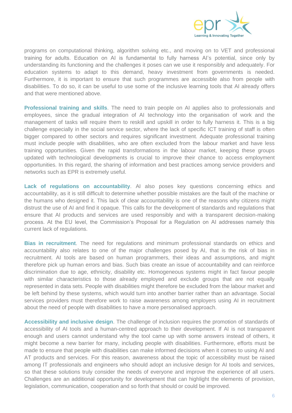

programs on computational thinking, algorithm solving etc., and moving on to VET and professional training for adults. Education on AI is fundamental to fully harness AI's potential, since only by understanding its functioning and the challenges it poses can we use it responsibly and adequately. For education systems to adapt to this demand, heavy investment from governments is needed. Furthermore, it is important to ensure that such programmes are accessible also from people with disabilities. To do so, it can be useful to use some of the inclusive learning tools that AI already offers and that were mentioned above.

**Professional training and skills**. The need to train people on AI applies also to professionals and employees, since the gradual integration of AI technology into the organisation of work and the management of tasks will require them to reskill and upskill in order to fully harness it. This is a big challenge especially in the social service sector, where the lack of specific ICT training of staff is often bigger compared to other sectors and requires significant investment. Adequate professional training must include people with disabilities, who are often excluded from the labour market and have less training opportunities. Given the rapid transformations in the labour market, keeping these groups updated with technological developments is crucial to improve their chance to access employment opportunities. In this regard, the sharing of information and best practices among service providers and networks such as EPR is extremely useful.

Lack of regulations on accountability. Al also poses key questions concerning ethics and accountability, as it is still difficult to determine whether possible mistakes are the fault of the machine or the humans who designed it. This lack of clear accountability is one of the reasons why citizens might distrust the use of AI and find it opaque. This calls for the development of standards and regulations that ensure that AI products and services are used responsibly and with a transparent decision-making process. At the EU level, the Commission's Proposal for a Regulation on AI addresses namely this current lack of regulations.

**Bias in recruitment**. The need for regulations and minimum professional standards on ethics and accountability also relates to one of the major challenges posed by AI, that is the risk of bias in recruitment. AI tools are based on human programmers, their ideas and assumptions, and might therefore pick up human errors and bias. Such bias create an issue of accountability and can reinforce discrimination due to age, ethnicity, disability etc. Homogeneous systems might in fact favour people with similar characteristics to those already employed and exclude groups that are not equally represented in data sets. People with disabilities might therefore be excluded from the labour market and be left behind by these systems, which would turn into another barrier rather than an advantage. Social services providers must therefore work to raise awareness among employers using AI in recruitment about the need of people with disabilities to have a more personalised approach.

**Accessibility and inclusive design**. The challenge of inclusion requires the promotion of standards of accessibility of AI tools and a human-centred approach to their development. If AI is not transparent enough and users cannot understand why the tool came up with some answers instead of others, it might become a new barrier for many, including people with disabilities. Furthermore, efforts must be made to ensure that people with disabilities can make informed decisions when it comes to using AI and AT products and services. For this reason, awareness about the topic of accessibility must be raised among IT professionals and engineers who should adopt an inclusive design for AI tools and services, so that these solutions truly consider the needs of everyone and improve the experience of all users. Challenges are an additional opportunity for development that can highlight the elements of provision, legislation, communication, cooperation and so forth that should or could be improved.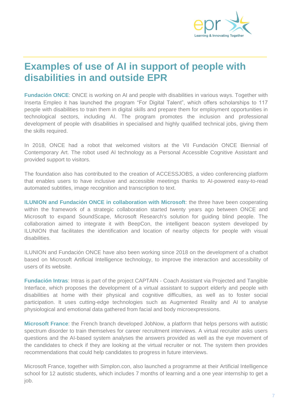

## <span id="page-6-0"></span>**Examples of use of AI in support of people with disabilities in and outside EPR**

<span id="page-6-1"></span>**Fundación ONCE**: ONCE is working on AI and people with disabilities in various ways. Together with Inserta Empleo it has launched the program "For Digital Talent", which offers scholarships to 117 people with disabilities to train them in digital skills and prepare them for employment opportunities in technological sectors, including AI. The program promotes the inclusion and professional development of people with disabilities in specialised and highly qualified technical jobs, giving them the skills required.

In 2018, ONCE had a robot that welcomed visitors at the VII Fundación ONCE Biennial of Contemporary Art. The robot used AI technology as a Personal Accessible Cognitive Assistant and provided support to visitors.

The foundation also has contributed to the creation of ACCESSJOBS, a video conferencing platform that enables users to have inclusive and accessible meetings thanks to AI-powered easy-to-read automated subtitles, image recognition and transcription to text.

<span id="page-6-2"></span>**ILUNION and Fundación ONCE in collaboration with Microsoft**: the three have been cooperating within the framework of a strategic collaboration started twenty years ago between ONCE and Microsoft to expand SoundScape, Microsoft Research's solution for guiding blind people. The collaboration aimed to integrate it with BeepCon, the intelligent beacon system developed by ILUNION that facilitates the identification and location of nearby objects for people with visual disabilities.

ILUNION and Fundación ONCE have also been working since 2018 on the development of a chatbot based on Microsoft Artificial Intelligence technology, to improve the interaction and accessibility of users of its website.

<span id="page-6-3"></span>**Fundación Intras**: Intras is part of the project CAPTAIN - Coach Assistant via Projected and Tangible Interface, which proposes the development of a virtual assistant to support elderly and people with disabilities at home with their physical and cognitive difficulties, as well as to foster social participation. It uses cutting-edge technologies such as Augmented Reality and AI to analyse physiological and emotional data gathered from facial and body microexpressions.

<span id="page-6-4"></span>**Microsoft France**: the French branch developed JobNow, a platform that helps persons with autistic spectrum disorder to train themselves for career recruitment interviews. A virtual recruiter asks users questions and the AI-based system analyses the answers provided as well as the eye movement of the candidates to check if they are looking at the virtual recruiter or not. The system then provides recommendations that could help candidates to progress in future interviews.

Microsoft France, together with Simplon.con, also launched a programme at their Artificial Intelligence school for 12 autistic students, which includes 7 months of learning and a one year internship to get a job.